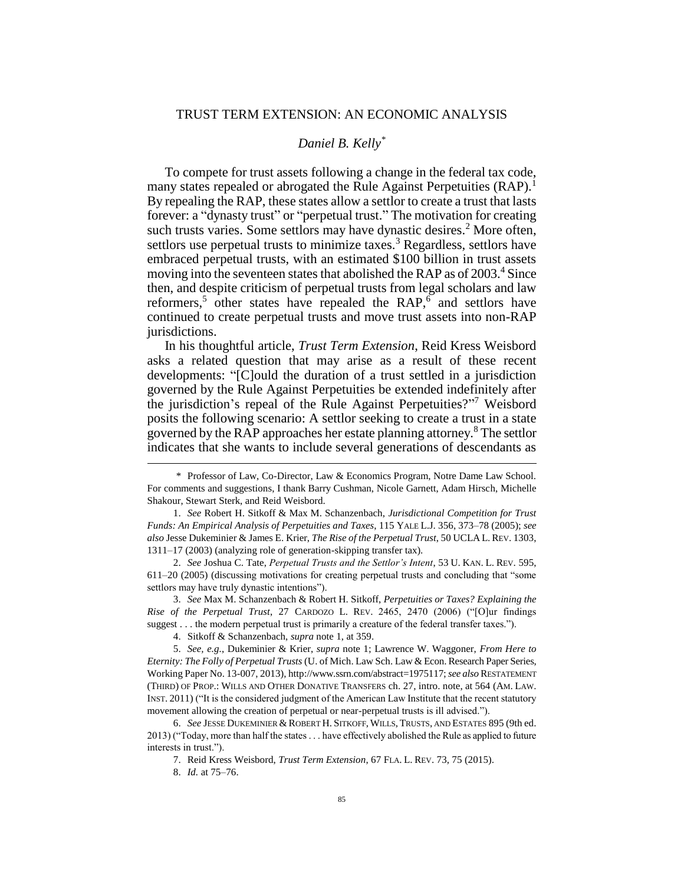### TRUST TERM EXTENSION: AN ECONOMIC ANALYSIS

# *Daniel B. Kelly\**

To compete for trust assets following a change in the federal tax code, many states repealed or abrogated the Rule Against Perpetuities (RAP).<sup>1</sup> By repealing the RAP, these states allow a settlor to create a trust that lasts forever: a "dynasty trust" or "perpetual trust." The motivation for creating such trusts varies. Some settlors may have dynastic desires.<sup>2</sup> More often, settlors use perpetual trusts to minimize taxes.<sup>3</sup> Regardless, settlors have embraced perpetual trusts, with an estimated \$100 billion in trust assets moving into the seventeen states that abolished the RAP as of 2003.<sup>4</sup> Since then, and despite criticism of perpetual trusts from legal scholars and law reformers,<sup>5</sup> other states have repealed the RAP, $6$  and settlors have continued to create perpetual trusts and move trust assets into non-RAP jurisdictions.

In his thoughtful article, *Trust Term Extension*, Reid Kress Weisbord asks a related question that may arise as a result of these recent developments: "[C]ould the duration of a trust settled in a jurisdiction governed by the Rule Against Perpetuities be extended indefinitely after the jurisdiction's repeal of the Rule Against Perpetuities?" <sup>7</sup> Weisbord posits the following scenario: A settlor seeking to create a trust in a state governed by the RAP approaches her estate planning attorney.<sup>8</sup> The settlor indicates that she wants to include several generations of descendants as

<sup>\*</sup> Professor of Law, Co-Director, Law & Economics Program, Notre Dame Law School. For comments and suggestions, I thank Barry Cushman, Nicole Garnett, Adam Hirsch, Michelle Shakour, Stewart Sterk, and Reid Weisbord.

<sup>1.</sup> *See* Robert H. Sitkoff & Max M. Schanzenbach, *Jurisdictional Competition for Trust Funds: An Empirical Analysis of Perpetuities and Taxes*, 115 YALE L.J. 356, 373–78 (2005); *see also* Jesse Dukeminier & James E. Krier, *The Rise of the Perpetual Trust*, 50 UCLAL.REV. 1303, 1311–17 (2003) (analyzing role of generation-skipping transfer tax).

<sup>2.</sup> *See* Joshua C. Tate, *Perpetual Trusts and the Settlor's Intent*, 53 U. KAN. L. REV. 595, 611–20 (2005) (discussing motivations for creating perpetual trusts and concluding that "some settlors may have truly dynastic intentions").

<sup>3.</sup> *See* Max M. Schanzenbach & Robert H. Sitkoff, *Perpetuities or Taxes? Explaining the Rise of the Perpetual Trust*, 27 CARDOZO L. REV. 2465, 2470 (2006) ("[O]ur findings suggest . . . the modern perpetual trust is primarily a creature of the federal transfer taxes.").

<sup>4.</sup> Sitkoff & Schanzenbach, *supra* note 1, at 359.

<sup>5.</sup> *See, e.g.*, Dukeminier & Krier, *supra* note 1; Lawrence W. Waggoner, *From Here to Eternity: The Folly of Perpetual Trusts* (U. of Mich. Law Sch. Law & Econ. Research Paper Series, Working Paper No. 13-007, 2013), http://www.ssrn.com/abstract=1975117; *see also* RESTATEMENT (THIRD) OF PROP.: WILLS AND OTHER DONATIVE TRANSFERS ch. 27, intro. note, at 564 (AM. LAW. INST. 2011) ("It is the considered judgment of the American Law Institute that the recent statutory movement allowing the creation of perpetual or near-perpetual trusts is ill advised.").

<sup>6.</sup> *See* JESSE DUKEMINIER &ROBERT H. SITKOFF, WILLS, TRUSTS, AND ESTATES 895 (9th ed. 2013) ("Today, more than half the states . . . have effectively abolished the Rule as applied to future interests in trust.").

<sup>7.</sup> Reid Kress Weisbord, *Trust Term Extension*, 67 FLA. L. REV. 73, 75 (2015).

<sup>8.</sup> *Id.* at 75–76.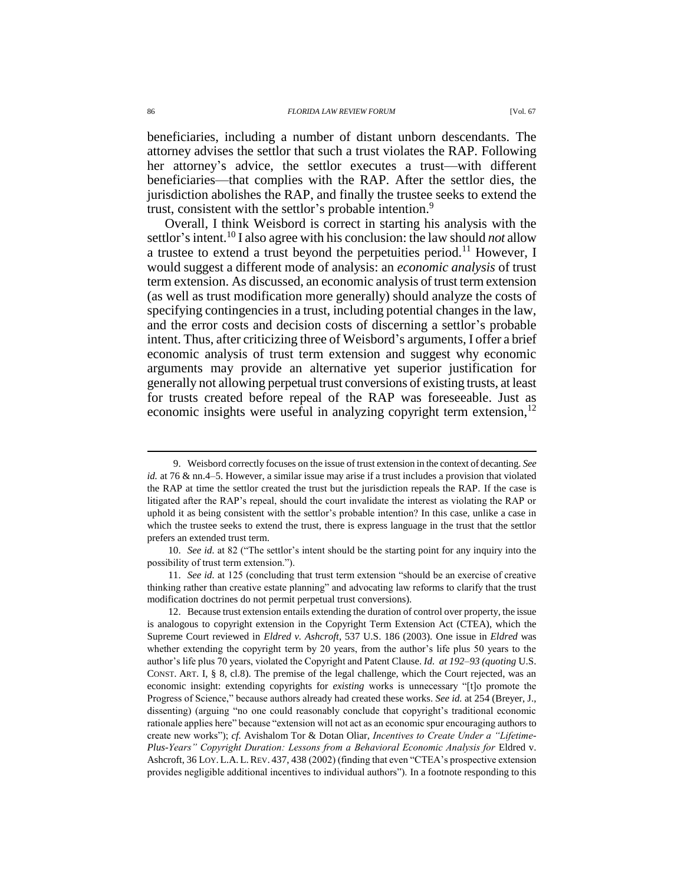beneficiaries, including a number of distant unborn descendants. The attorney advises the settlor that such a trust violates the RAP. Following her attorney's advice, the settlor executes a trust—with different beneficiaries—that complies with the RAP. After the settlor dies, the jurisdiction abolishes the RAP, and finally the trustee seeks to extend the trust, consistent with the settlor's probable intention.<sup>9</sup>

Overall, I think Weisbord is correct in starting his analysis with the settlor's intent.<sup>10</sup> I also agree with his conclusion: the law should *not* allow a trustee to extend a trust beyond the perpetuities period.<sup>11</sup> However, I would suggest a different mode of analysis: an *economic analysis* of trust term extension. As discussed, an economic analysis of trust term extension (as well as trust modification more generally) should analyze the costs of specifying contingencies in a trust, including potential changes in the law, and the error costs and decision costs of discerning a settlor's probable intent. Thus, after criticizing three of Weisbord's arguments, I offer a brief economic analysis of trust term extension and suggest why economic arguments may provide an alternative yet superior justification for generally not allowing perpetual trust conversions of existing trusts, at least for trusts created before repeal of the RAP was foreseeable. Just as economic insights were useful in analyzing copyright term extension,  $12$ 

<sup>9.</sup> Weisbord correctly focuses on the issue of trust extension in the context of decanting. *See id.* at 76 & nn.4–5. However, a similar issue may arise if a trust includes a provision that violated the RAP at time the settlor created the trust but the jurisdiction repeals the RAP. If the case is litigated after the RAP's repeal, should the court invalidate the interest as violating the RAP or uphold it as being consistent with the settlor's probable intention? In this case, unlike a case in which the trustee seeks to extend the trust, there is express language in the trust that the settlor prefers an extended trust term.

<sup>10.</sup> *See id.* at 82 ("The settlor's intent should be the starting point for any inquiry into the possibility of trust term extension.").

<sup>11.</sup> *See id.* at 125 (concluding that trust term extension "should be an exercise of creative thinking rather than creative estate planning" and advocating law reforms to clarify that the trust modification doctrines do not permit perpetual trust conversions).

<sup>12.</sup> Because trust extension entails extending the duration of control over property, the issue is analogous to copyright extension in the Copyright Term Extension Act (CTEA), which the Supreme Court reviewed in *Eldred v. Ashcroft*, 537 U.S. 186 (2003). One issue in *Eldred* was whether extending the copyright term by 20 years, from the author's life plus 50 years to the author's life plus 70 years, violated the Copyright and Patent Clause. *Id. at 192–93 (quoting* U.S. CONST. ART. I, § 8, cl.8). The premise of the legal challenge, which the Court rejected, was an economic insight: extending copyrights for *existing* works is unnecessary "[t]o promote the Progress of Science," because authors already had created these works. *See id.* at 254 (Breyer, J., dissenting) (arguing "no one could reasonably conclude that copyright's traditional economic rationale applies here" because "extension will not act as an economic spur encouraging authors to create new works"); *cf.* Avishalom Tor & Dotan Oliar, *Incentives to Create Under a "Lifetime-*Plus-Years" Copyright Duration: Lessons from a Behavioral Economic Analysis for Eldred v. Ashcroft, 36 LOY. L.A. L.REV. 437, 438 (2002) (finding that even "CTEA's prospective extension provides negligible additional incentives to individual authors"). In a footnote responding to this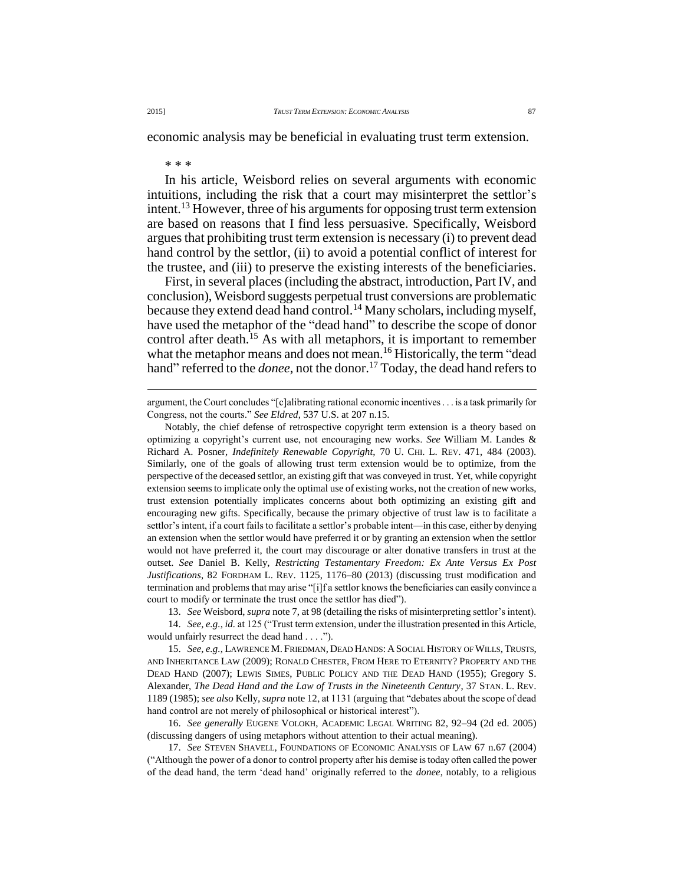economic analysis may be beneficial in evaluating trust term extension.

## \* \* \*

In his article, Weisbord relies on several arguments with economic intuitions, including the risk that a court may misinterpret the settlor's intent.<sup>13</sup> However, three of his arguments for opposing trust term extension are based on reasons that I find less persuasive. Specifically, Weisbord argues that prohibiting trust term extension is necessary (i) to prevent dead hand control by the settlor, (ii) to avoid a potential conflict of interest for the trustee, and (iii) to preserve the existing interests of the beneficiaries.

First, in several places (including the abstract, introduction, Part IV, and conclusion), Weisbord suggests perpetual trust conversions are problematic because they extend dead hand control.<sup>14</sup> Many scholars, including myself, have used the metaphor of the "dead hand" to describe the scope of donor control after death.<sup>15</sup> As with all metaphors, it is important to remember what the metaphor means and does not mean.<sup>16</sup> Historically, the term "dead hand" referred to the *donee*, not the donor.<sup>17</sup> Today, the dead hand refers to

argument, the Court concludes "[c]alibrating rational economic incentives . . . is a task primarily for Congress, not the courts." *See Eldred*, 537 U.S. at 207 n.15.

Notably, the chief defense of retrospective copyright term extension is a theory based on optimizing a copyright's current use, not encouraging new works. *See* William M. Landes & Richard A. Posner, *Indefinitely Renewable Copyright*, 70 U. CHI. L. REV. 471, 484 (2003). Similarly, one of the goals of allowing trust term extension would be to optimize, from the perspective of the deceased settlor, an existing gift that was conveyed in trust. Yet, while copyright extension seems to implicate only the optimal use of existing works, not the creation of new works, trust extension potentially implicates concerns about both optimizing an existing gift and encouraging new gifts. Specifically, because the primary objective of trust law is to facilitate a settlor's intent, if a court fails to facilitate a settlor's probable intent—in this case, either by denying an extension when the settlor would have preferred it or by granting an extension when the settlor would not have preferred it, the court may discourage or alter donative transfers in trust at the outset. *See* Daniel B. Kelly, *Restricting Testamentary Freedom: Ex Ante Versus Ex Post Justifications*, 82 FORDHAM L. REV. 1125, 1176–80 (2013) (discussing trust modification and termination and problems that may arise "[i]f a settlor knows the beneficiaries can easily convince a court to modify or terminate the trust once the settlor has died").

13. *See* Weisbord, *supra* note 7, at 98 (detailing the risks of misinterpreting settlor's intent).

14. *See, e.g.*, *id.* at 125 ("Trust term extension, under the illustration presented in this Article, would unfairly resurrect the dead hand . . . .").

15. *See, e.g.*, LAWRENCE M. FRIEDMAN, DEAD HANDS: A SOCIAL HISTORY OF WILLS, TRUSTS, AND INHERITANCE LAW (2009); RONALD CHESTER, FROM HERE TO ETERNITY? PROPERTY AND THE DEAD HAND (2007); LEWIS SIMES, PUBLIC POLICY AND THE DEAD HAND (1955); Gregory S. Alexander, *The Dead Hand and the Law of Trusts in the Nineteenth Century*, 37 STAN. L. REV. 1189 (1985); *see also* Kelly, *supra* note 12, at 1131 (arguing that "debates about the scope of dead hand control are not merely of philosophical or historical interest").

16. *See generally* EUGENE VOLOKH, ACADEMIC LEGAL WRITING 82, 92–94 (2d ed. 2005) (discussing dangers of using metaphors without attention to their actual meaning).

17. *See* STEVEN SHAVELL, FOUNDATIONS OF ECONOMIC ANALYSIS OF LAW 67 n.67 (2004) ("Although the power of a donor to control property after his demise is today often called the power of the dead hand, the term 'dead hand' originally referred to the *donee*, notably, to a religious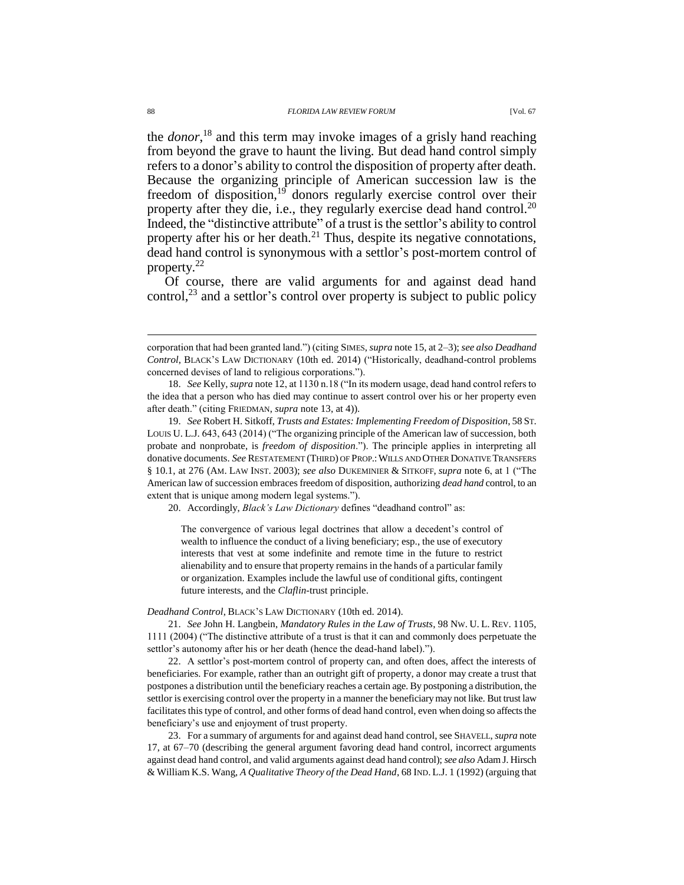the *donor*, <sup>18</sup> and this term may invoke images of a grisly hand reaching from beyond the grave to haunt the living. But dead hand control simply refers to a donor's ability to control the disposition of property after death. Because the organizing principle of American succession law is the freedom of disposition,<sup>19</sup> donors regularly exercise control over their property after they die, i.e., they regularly exercise dead hand control.<sup>20</sup> Indeed, the "distinctive attribute" of a trust is the settlor's ability to control property after his or her death. $^{21}$  Thus, despite its negative connotations, dead hand control is synonymous with a settlor's post-mortem control of property.<sup>22</sup>

Of course, there are valid arguments for and against dead hand control, $^{23}$  and a settlor's control over property is subject to public policy

20. Accordingly, *Black's Law Dictionary* defines "deadhand control" as:

The convergence of various legal doctrines that allow a decedent's control of wealth to influence the conduct of a living beneficiary; esp., the use of executory interests that vest at some indefinite and remote time in the future to restrict alienability and to ensure that property remains in the hands of a particular family or organization. Examples include the lawful use of conditional gifts, contingent future interests, and the *Claflin*-trust principle.

### *Deadhand Control*, BLACK'S LAW DICTIONARY (10th ed. 2014).

21. *See* John H. Langbein, *Mandatory Rules in the Law of Trusts*, 98 NW. U. L. REV. 1105, 1111 (2004) ("The distinctive attribute of a trust is that it can and commonly does perpetuate the settlor's autonomy after his or her death (hence the dead-hand label).").

22. A settlor's post-mortem control of property can, and often does, affect the interests of beneficiaries. For example, rather than an outright gift of property, a donor may create a trust that postpones a distribution until the beneficiary reaches a certain age. By postponing a distribution, the settlor is exercising control over the property in a manner the beneficiary may not like. But trust law facilitates this type of control, and other forms of dead hand control, even when doing so affects the beneficiary's use and enjoyment of trust property.

23. For a summary of arguments for and against dead hand control, see SHAVELL, *supra* note 17, at 67–70 (describing the general argument favoring dead hand control, incorrect arguments against dead hand control, and valid arguments against dead hand control); *see also* Adam J. Hirsch & William K.S. Wang, *A Qualitative Theory of the Dead Hand*, 68 IND. L.J. 1 (1992) (arguing that

corporation that had been granted land.") (citing SIMES, *supra* note 15, at 2–3); *see also Deadhand Control*, BLACK'S LAW DICTIONARY (10th ed. 2014) ("Historically, deadhand-control problems concerned devises of land to religious corporations.").

<sup>18.</sup> *See* Kelly, *supra* note 12, at 1130 n.18 ("In its modern usage, dead hand control refers to the idea that a person who has died may continue to assert control over his or her property even after death." (citing FRIEDMAN, *supra* note 13, at 4)).

<sup>19.</sup> *See* Robert H. Sitkoff, *Trusts and Estates: Implementing Freedom of Disposition*, 58 ST. LOUIS U. L.J. 643, 643 (2014) ("The organizing principle of the American law of succession, both probate and nonprobate, is *freedom of disposition*."). The principle applies in interpreting all donative documents. *See* RESTATEMENT (THIRD) OF PROP.:WILLS AND OTHER DONATIVE TRANSFERS § 10.1, at 276 (AM. LAW INST. 2003); *see also* DUKEMINIER & SITKOFF, *supra* note 6, at 1 ("The American law of succession embraces freedom of disposition, authorizing *dead hand* control, to an extent that is unique among modern legal systems.").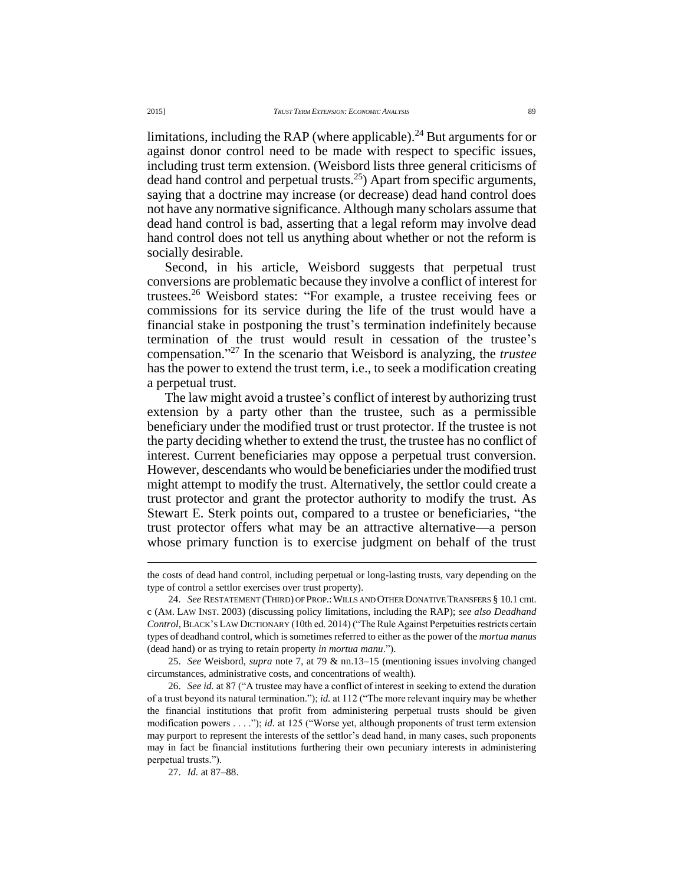limitations, including the RAP (where applicable).<sup>24</sup> But arguments for or against donor control need to be made with respect to specific issues, including trust term extension. (Weisbord lists three general criticisms of dead hand control and perpetual trusts.<sup>25</sup>) Apart from specific arguments, saying that a doctrine may increase (or decrease) dead hand control does not have any normative significance. Although many scholars assume that dead hand control is bad, asserting that a legal reform may involve dead hand control does not tell us anything about whether or not the reform is socially desirable.

Second, in his article, Weisbord suggests that perpetual trust conversions are problematic because they involve a conflict of interest for trustees.<sup>26</sup> Weisbord states: "For example, a trustee receiving fees or commissions for its service during the life of the trust would have a financial stake in postponing the trust's termination indefinitely because termination of the trust would result in cessation of the trustee's compensation." <sup>27</sup> In the scenario that Weisbord is analyzing, the *trustee* has the power to extend the trust term, i.e., to seek a modification creating a perpetual trust.

The law might avoid a trustee's conflict of interest by authorizing trust extension by a party other than the trustee, such as a permissible beneficiary under the modified trust or trust protector. If the trustee is not the party deciding whether to extend the trust, the trustee has no conflict of interest. Current beneficiaries may oppose a perpetual trust conversion. However, descendants who would be beneficiaries under the modified trust might attempt to modify the trust. Alternatively, the settlor could create a trust protector and grant the protector authority to modify the trust. As Stewart E. Sterk points out, compared to a trustee or beneficiaries, "the trust protector offers what may be an attractive alternative—a person whose primary function is to exercise judgment on behalf of the trust

the costs of dead hand control, including perpetual or long-lasting trusts, vary depending on the type of control a settlor exercises over trust property).

<sup>24.</sup> *See* RESTATEMENT (THIRD) OF PROP.:WILLS AND OTHER DONATIVE TRANSFERS § 10.1 cmt. c (AM. LAW INST. 2003) (discussing policy limitations, including the RAP); *see also Deadhand Control*,BLACK'S LAW DICTIONARY (10th ed. 2014) ("The Rule Against Perpetuities restricts certain types of deadhand control, which is sometimes referred to either as the power of the *mortua manus*  (dead hand) or as trying to retain property *in mortua manu*.").

<sup>25.</sup> *See* Weisbord, *supra* note 7, at 79 & nn.13–15 (mentioning issues involving changed circumstances, administrative costs, and concentrations of wealth).

<sup>26.</sup> *See id.* at 87 ("A trustee may have a conflict of interest in seeking to extend the duration of a trust beyond its natural termination."); *id.* at 112 ("The more relevant inquiry may be whether the financial institutions that profit from administering perpetual trusts should be given modification powers . . . ."); *id.* at 125 ("Worse yet, although proponents of trust term extension may purport to represent the interests of the settlor's dead hand, in many cases, such proponents may in fact be financial institutions furthering their own pecuniary interests in administering perpetual trusts.").

<sup>27.</sup> *Id.* at 87–88.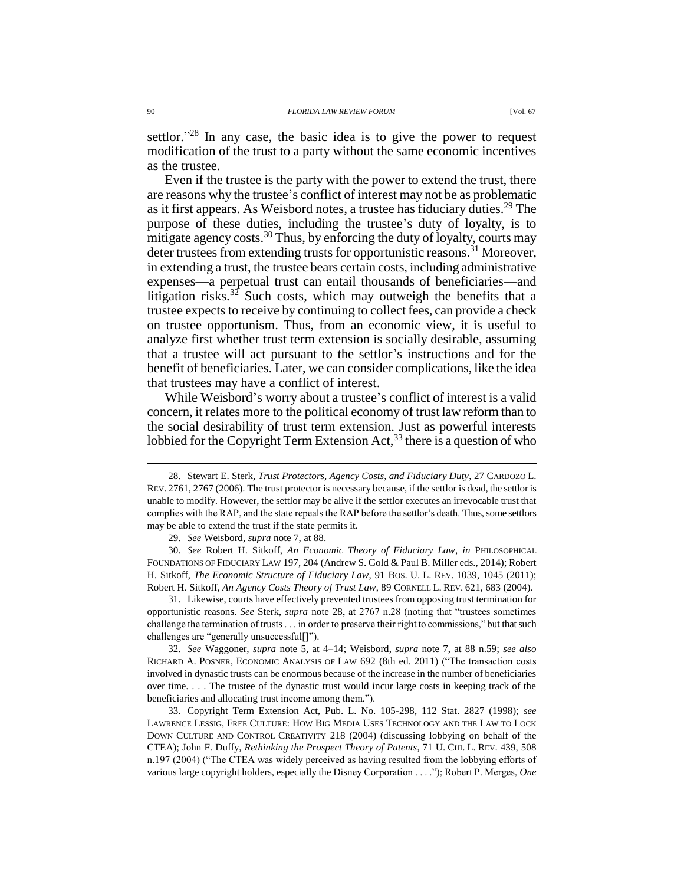settlor."<sup>28</sup> In any case, the basic idea is to give the power to request modification of the trust to a party without the same economic incentives as the trustee.

Even if the trustee is the party with the power to extend the trust, there are reasons why the trustee's conflict of interest may not be as problematic as it first appears. As Weisbord notes, a trustee has fiduciary duties.<sup>29</sup> The purpose of these duties, including the trustee's duty of loyalty, is to mitigate agency costs.<sup>30</sup> Thus, by enforcing the duty of loyalty, courts may deter trustees from extending trusts for opportunistic reasons.<sup>31</sup> Moreover, in extending a trust, the trustee bears certain costs, including administrative expenses—a perpetual trust can entail thousands of beneficiaries—and litigation risks.<sup>32</sup> Such costs, which may outweigh the benefits that a trustee expects to receive by continuing to collect fees, can provide a check on trustee opportunism. Thus, from an economic view, it is useful to analyze first whether trust term extension is socially desirable, assuming that a trustee will act pursuant to the settlor's instructions and for the benefit of beneficiaries. Later, we can consider complications, like the idea that trustees may have a conflict of interest.

While Weisbord's worry about a trustee's conflict of interest is a valid concern, it relates more to the political economy of trust law reform than to the social desirability of trust term extension. Just as powerful interests lobbied for the Copyright Term Extension Act,  $^{33}$  there is a question of who

31. Likewise, courts have effectively prevented trustees from opposing trust termination for opportunistic reasons. *See* Sterk, *supra* note 28, at 2767 n.28 (noting that "trustees sometimes challenge the termination of trusts . . . in order to preserve their right to commissions," but that such challenges are "generally unsuccessful[]").

32. *See* Waggoner, *supra* note 5, at 4–14; Weisbord, *supra* note 7, at 88 n.59; *see also* RICHARD A. POSNER, ECONOMIC ANALYSIS OF LAW 692 (8th ed. 2011) ("The transaction costs involved in dynastic trusts can be enormous because of the increase in the number of beneficiaries over time. . . . The trustee of the dynastic trust would incur large costs in keeping track of the beneficiaries and allocating trust income among them.").

33. Copyright Term Extension Act, Pub. L. No. 105-298, 112 Stat. 2827 (1998); *see* LAWRENCE LESSIG, FREE CULTURE: HOW BIG MEDIA USES TECHNOLOGY AND THE LAW TO LOCK DOWN CULTURE AND CONTROL CREATIVITY 218 (2004) (discussing lobbying on behalf of the CTEA); John F. Duffy, *Rethinking the Prospect Theory of Patents*, 71 U. CHI. L. REV. 439, 508 n.197 (2004) ("The CTEA was widely perceived as having resulted from the lobbying efforts of various large copyright holders, especially the Disney Corporation . . . ."); Robert P. Merges, *One* 

<sup>28.</sup> Stewart E. Sterk, *Trust Protectors, Agency Costs, and Fiduciary Duty*, 27 CARDOZO L. REV. 2761, 2767 (2006). The trust protector is necessary because, if the settlor is dead, the settlor is unable to modify. However, the settlor may be alive if the settlor executes an irrevocable trust that complies with the RAP, and the state repeals the RAP before the settlor's death. Thus, some settlors may be able to extend the trust if the state permits it.

<sup>29.</sup> *See* Weisbord, *supra* note 7, at 88.

<sup>30.</sup> *See* Robert H. Sitkoff, *An Economic Theory of Fiduciary Law*, *in* PHILOSOPHICAL FOUNDATIONS OF FIDUCIARY LAW 197, 204 (Andrew S. Gold & Paul B. Miller eds., 2014); Robert H. Sitkoff, *The Economic Structure of Fiduciary Law*, 91 BOS. U. L. REV. 1039, 1045 (2011); Robert H. Sitkoff, *An Agency Costs Theory of Trust Law*, 89 CORNELL L. REV. 621, 683 (2004).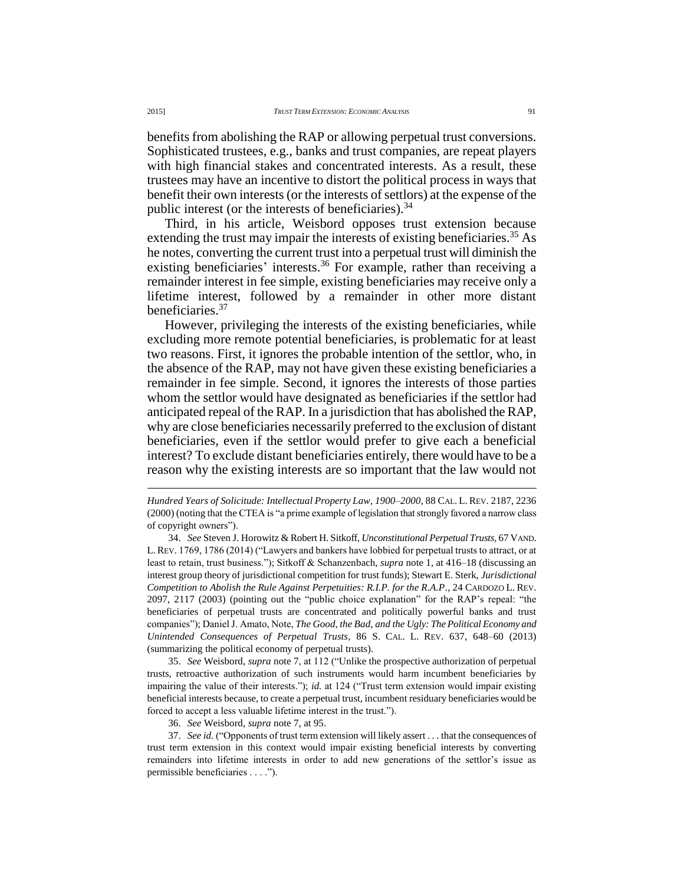benefits from abolishing the RAP or allowing perpetual trust conversions. Sophisticated trustees, e.g., banks and trust companies, are repeat players with high financial stakes and concentrated interests. As a result, these trustees may have an incentive to distort the political process in ways that benefit their own interests (or the interests of settlors) at the expense of the public interest (or the interests of beneficiaries). $34$ 

Third, in his article, Weisbord opposes trust extension because extending the trust may impair the interests of existing beneficiaries.<sup>35</sup> As he notes, converting the current trust into a perpetual trust will diminish the existing beneficiaries' interests.<sup>36</sup> For example, rather than receiving a remainder interest in fee simple, existing beneficiaries may receive only a lifetime interest, followed by a remainder in other more distant beneficiaries.<sup>37</sup>

However, privileging the interests of the existing beneficiaries, while excluding more remote potential beneficiaries, is problematic for at least two reasons. First, it ignores the probable intention of the settlor, who, in the absence of the RAP, may not have given these existing beneficiaries a remainder in fee simple. Second, it ignores the interests of those parties whom the settlor would have designated as beneficiaries if the settlor had anticipated repeal of the RAP. In a jurisdiction that has abolished the RAP, why are close beneficiaries necessarily preferred to the exclusion of distant beneficiaries, even if the settlor would prefer to give each a beneficial interest? To exclude distant beneficiaries entirely, there would have to be a reason why the existing interests are so important that the law would not

*Hundred Years of Solicitude: Intellectual Property Law, 1900–2000*, 88 CAL. L. REV. 2187, 2236 (2000) (noting that the CTEA is "a prime example of legislation that strongly favored a narrow class of copyright owners").

34. *See* Steven J. Horowitz & Robert H. Sitkoff, *Unconstitutional Perpetual Trusts*, 67 VAND. L.REV. 1769, 1786 (2014) ("Lawyers and bankers have lobbied for perpetual trusts to attract, or at least to retain, trust business."); Sitkoff & Schanzenbach, *supra* note 1, at 416–18 (discussing an interest group theory of jurisdictional competition for trust funds); Stewart E. Sterk, *Jurisdictional Competition to Abolish the Rule Against Perpetuities: R.I.P. for the R.A.P*., 24 CARDOZO L. REV. 2097, 2117 (2003) (pointing out the "public choice explanation" for the RAP's repeal: "the beneficiaries of perpetual trusts are concentrated and politically powerful banks and trust companies"); Daniel J. Amato, Note, *The Good, the Bad, and the Ugly: The Political Economy and Unintended Consequences of Perpetual Trusts*, 86 S. CAL. L. REV. 637, 648–60 (2013) (summarizing the political economy of perpetual trusts).

35. *See* Weisbord, *supra* note 7, at 112 ("Unlike the prospective authorization of perpetual trusts, retroactive authorization of such instruments would harm incumbent beneficiaries by impairing the value of their interests."); *id.* at 124 ("Trust term extension would impair existing beneficial interests because, to create a perpetual trust, incumbent residuary beneficiaries would be forced to accept a less valuable lifetime interest in the trust.").

36. *See* Weisbord, *supra* note 7, at 95.

37. *See id.* ("Opponents of trust term extension will likely assert . . . that the consequences of trust term extension in this context would impair existing beneficial interests by converting remainders into lifetime interests in order to add new generations of the settlor's issue as permissible beneficiaries . . . .").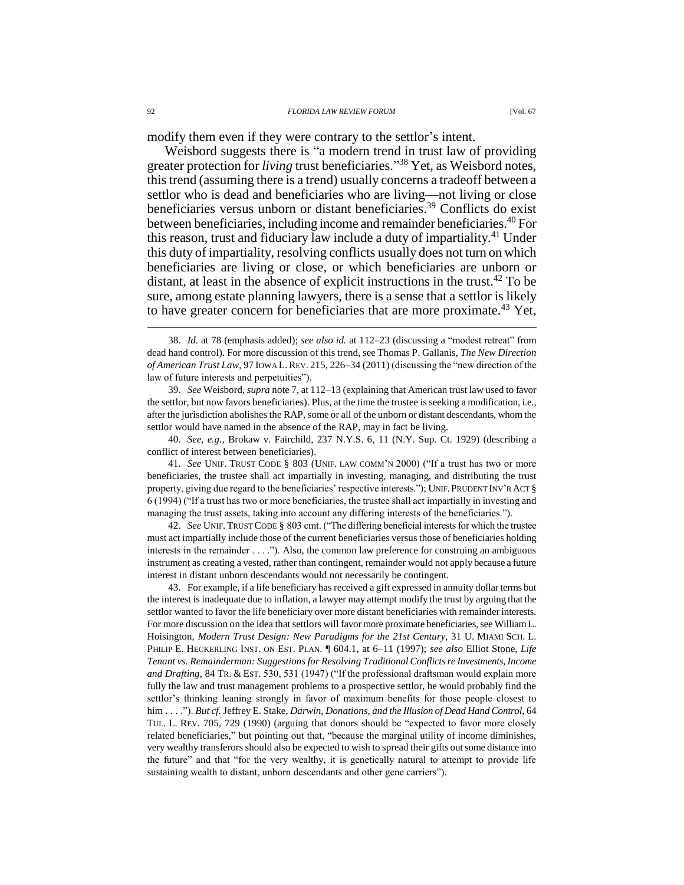modify them even if they were contrary to the settlor's intent.

Weisbord suggests there is "a modern trend in trust law of providing greater protection for *living* trust beneficiaries." <sup>38</sup> Yet, as Weisbord notes, this trend (assuming there is a trend) usually concerns a tradeoff between a settlor who is dead and beneficiaries who are living—not living or close beneficiaries versus unborn or distant beneficiaries.<sup>39</sup> Conflicts do exist between beneficiaries, including income and remainder beneficiaries.<sup>40</sup> For this reason, trust and fiduciary law include a duty of impartiality.<sup>41</sup> Under this duty of impartiality, resolving conflicts usually does not turn on which beneficiaries are living or close, or which beneficiaries are unborn or distant, at least in the absence of explicit instructions in the trust.<sup>42</sup> To be sure, among estate planning lawyers, there is a sense that a settlor is likely to have greater concern for beneficiaries that are more proximate.<sup>43</sup> Yet,

40. *See, e.g.*, Brokaw v. Fairchild, 237 N.Y.S. 6, 11 (N.Y. Sup. Ct. 1929) (describing a conflict of interest between beneficiaries).

41. *See* UNIF. TRUST CODE § 803 (UNIF. LAW COMM'N 2000) ("If a trust has two or more beneficiaries, the trustee shall act impartially in investing, managing, and distributing the trust property, giving due regard to the beneficiaries' respective interests."); UNIF.PRUDENT INV'R ACT § 6 (1994) ("If a trust has two or more beneficiaries, the trustee shall act impartially in investing and managing the trust assets, taking into account any differing interests of the beneficiaries.").

42. *See* UNIF. TRUST CODE § 803 cmt. ("The differing beneficial interests for which the trustee must act impartially include those of the current beneficiaries versus those of beneficiaries holding interests in the remainder . . . ."). Also, the common law preference for construing an ambiguous instrument as creating a vested, rather than contingent, remainder would not apply because a future interest in distant unborn descendants would not necessarily be contingent.

43. For example, if a life beneficiary has received a gift expressed in annuity dollar terms but the interest is inadequate due to inflation, a lawyer may attempt modify the trust by arguing that the settlor wanted to favor the life beneficiary over more distant beneficiaries with remainder interests. For more discussion on the idea that settlors will favor more proximate beneficiaries, see William L. Hoisington, *Modern Trust Design: New Paradigms for the 21st Century*, 31 U. MIAMI SCH. L. PHILIP E. HECKERLING INST. ON EST. PLAN. ¶ 604.1, at 6–11 (1997); *see also* Elliot Stone, *Life Tenant vs. Remainderman: Suggestions for Resolving Traditional Conflicts re Investments, Income and Drafting*, 84 TR. & EST. 530, 531 (1947) ("If the professional draftsman would explain more fully the law and trust management problems to a prospective settlor, he would probably find the settlor's thinking leaning strongly in favor of maximum benefits for those people closest to him . . . ."). *But cf.* Jeffrey E. Stake, *Darwin, Donations, and the Illusion of Dead Hand Control*, 64 TUL. L. REV. 705, 729 (1990) (arguing that donors should be "expected to favor more closely related beneficiaries," but pointing out that, "because the marginal utility of income diminishes, very wealthy transferors should also be expected to wish to spread their gifts out some distance into the future" and that "for the very wealthy, it is genetically natural to attempt to provide life sustaining wealth to distant, unborn descendants and other gene carriers").

<sup>38.</sup> *Id.* at 78 (emphasis added); *see also id.* at 112–23 (discussing a "modest retreat" from dead hand control). For more discussion of this trend, see Thomas P. Gallanis, *The New Direction of American Trust Law*, 97 IOWA L.REV. 215, 226–34 (2011) (discussing the "new direction of the law of future interests and perpetuities").

<sup>39.</sup> *See* Weisbord, *supra* note 7, at 112–13 (explaining that American trust law used to favor the settlor, but now favors beneficiaries). Plus, at the time the trustee is seeking a modification, i.e., after the jurisdiction abolishes the RAP, some or all of the unborn or distant descendants, whom the settlor would have named in the absence of the RAP, may in fact be living.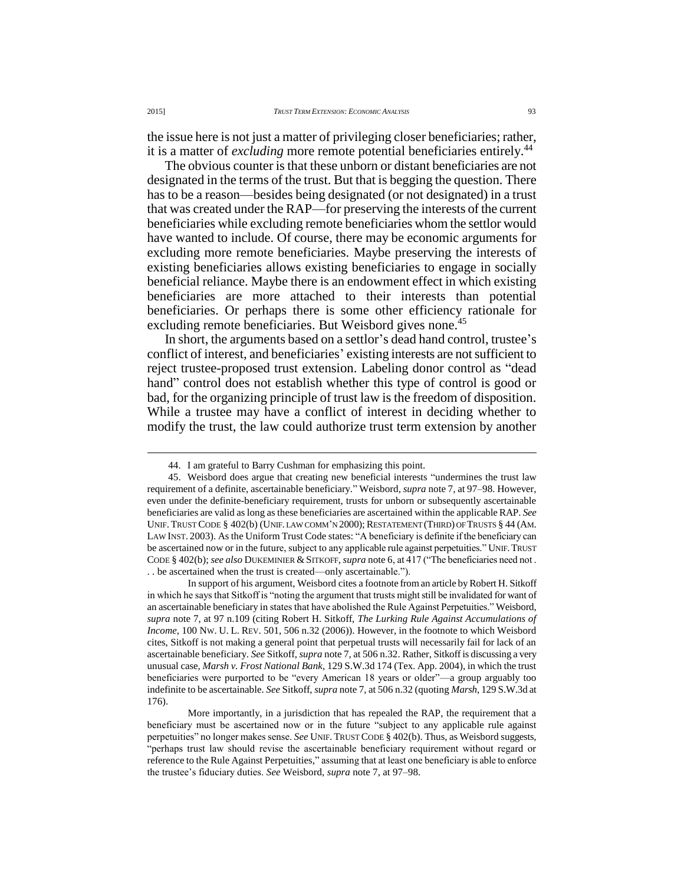the issue here is not just a matter of privileging closer beneficiaries; rather, it is a matter of *excluding* more remote potential beneficiaries entirely.<sup>44</sup>

The obvious counter is that these unborn or distant beneficiaries are not designated in the terms of the trust. But that is begging the question. There has to be a reason—besides being designated (or not designated) in a trust that was created under the RAP—for preserving the interests of the current beneficiaries while excluding remote beneficiaries whom the settlor would have wanted to include. Of course, there may be economic arguments for excluding more remote beneficiaries. Maybe preserving the interests of existing beneficiaries allows existing beneficiaries to engage in socially beneficial reliance. Maybe there is an endowment effect in which existing beneficiaries are more attached to their interests than potential beneficiaries. Or perhaps there is some other efficiency rationale for excluding remote beneficiaries. But Weisbord gives none.<sup>45</sup>

In short, the arguments based on a settlor's dead hand control, trustee's conflict of interest, and beneficiaries' existing interests are not sufficient to reject trustee-proposed trust extension. Labeling donor control as "dead hand" control does not establish whether this type of control is good or bad, for the organizing principle of trust law is the freedom of disposition. While a trustee may have a conflict of interest in deciding whether to modify the trust, the law could authorize trust term extension by another

<sup>44.</sup> I am grateful to Barry Cushman for emphasizing this point.

<sup>45.</sup> Weisbord does argue that creating new beneficial interests "undermines the trust law requirement of a definite, ascertainable beneficiary." Weisbord, *supra* note 7, at 97–98. However, even under the definite-beneficiary requirement, trusts for unborn or subsequently ascertainable beneficiaries are valid as long as these beneficiaries are ascertained within the applicable RAP. *See* UNIF. TRUST CODE § 402(b) (UNIF. LAW COMM'N 2000); RESTATEMENT (THIRD) OF TRUSTS § 44 (AM. LAW INST. 2003). As the Uniform Trust Code states: "A beneficiary is definite if the beneficiary can be ascertained now or in the future, subject to any applicable rule against perpetuities." UNIF. TRUST CODE § 402(b); *see also* DUKEMINIER & SITKOFF, *supra* note 6, at 417 ("The beneficiaries need not . . . be ascertained when the trust is created—only ascertainable.").

In support of his argument, Weisbord cites a footnote from an article by Robert H. Sitkoff in which he says that Sitkoff is "noting the argument that trusts might still be invalidated for want of an ascertainable beneficiary in states that have abolished the Rule Against Perpetuities." Weisbord, *supra* note 7, at 97 n.109 (citing Robert H. Sitkoff, *The Lurking Rule Against Accumulations of Income*, 100 NW. U. L. REV. 501, 506 n.32 (2006)). However, in the footnote to which Weisbord cites, Sitkoff is not making a general point that perpetual trusts will necessarily fail for lack of an ascertainable beneficiary. *See* Sitkoff, *supra* note 7, at 506 n.32. Rather, Sitkoff is discussing a very unusual case, *Marsh v. Frost National Bank*, 129 S.W.3d 174 (Tex. App. 2004), in which the trust beneficiaries were purported to be "every American 18 years or older"—a group arguably too indefinite to be ascertainable. *See* Sitkoff, *supra* note 7, at 506 n.32 (quoting *Marsh*, 129 S.W.3d at 176).

More importantly, in a jurisdiction that has repealed the RAP, the requirement that a beneficiary must be ascertained now or in the future "subject to any applicable rule against perpetuities" no longer makes sense. *See* UNIF. TRUST CODE § 402(b). Thus, as Weisbord suggests, "perhaps trust law should revise the ascertainable beneficiary requirement without regard or reference to the Rule Against Perpetuities," assuming that at least one beneficiary is able to enforce the trustee's fiduciary duties. *See* Weisbord, *supra* note 7, at 97–98.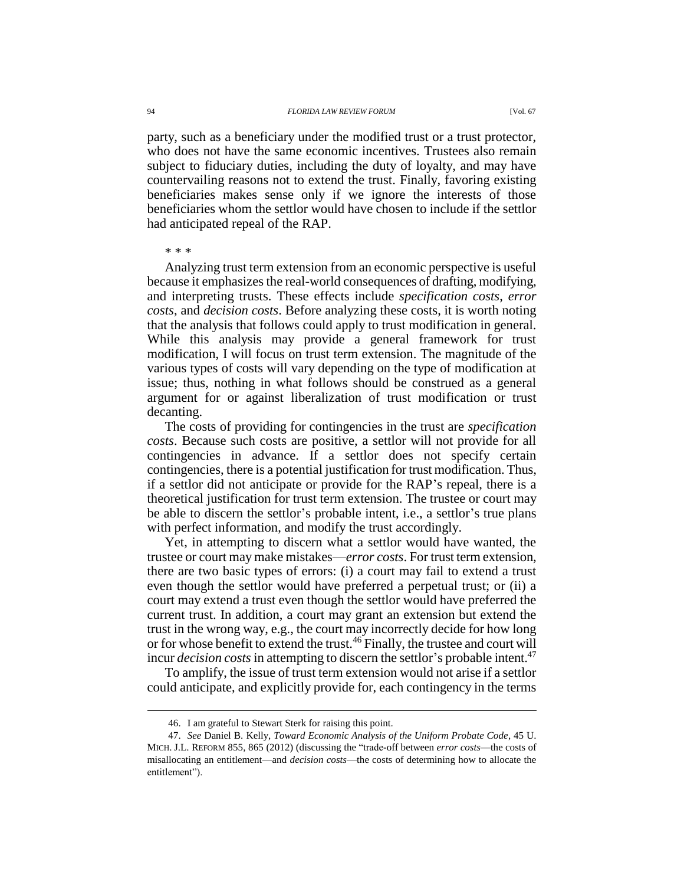party, such as a beneficiary under the modified trust or a trust protector, who does not have the same economic incentives. Trustees also remain subject to fiduciary duties, including the duty of loyalty, and may have countervailing reasons not to extend the trust. Finally, favoring existing beneficiaries makes sense only if we ignore the interests of those beneficiaries whom the settlor would have chosen to include if the settlor had anticipated repeal of the RAP.

#### \* \* \*

 $\overline{a}$ 

Analyzing trust term extension from an economic perspective is useful because it emphasizes the real-world consequences of drafting, modifying, and interpreting trusts. These effects include *specification costs*, *error costs*, and *decision costs*. Before analyzing these costs, it is worth noting that the analysis that follows could apply to trust modification in general. While this analysis may provide a general framework for trust modification, I will focus on trust term extension. The magnitude of the various types of costs will vary depending on the type of modification at issue; thus, nothing in what follows should be construed as a general argument for or against liberalization of trust modification or trust decanting.

The costs of providing for contingencies in the trust are *specification costs*. Because such costs are positive, a settlor will not provide for all contingencies in advance. If a settlor does not specify certain contingencies, there is a potential justification for trust modification. Thus, if a settlor did not anticipate or provide for the RAP's repeal, there is a theoretical justification for trust term extension. The trustee or court may be able to discern the settlor's probable intent, i.e., a settlor's true plans with perfect information, and modify the trust accordingly.

Yet, in attempting to discern what a settlor would have wanted, the trustee or court may make mistakes—*error costs*. For trust term extension, there are two basic types of errors: (i) a court may fail to extend a trust even though the settlor would have preferred a perpetual trust; or (ii) a court may extend a trust even though the settlor would have preferred the current trust. In addition, a court may grant an extension but extend the trust in the wrong way, e.g., the court may incorrectly decide for how long or for whose benefit to extend the trust.<sup>46</sup> Finally, the trustee and court will incur *decision costs* in attempting to discern the settlor's probable intent.<sup>47</sup>

To amplify, the issue of trust term extension would not arise if a settlor could anticipate, and explicitly provide for, each contingency in the terms

<sup>46.</sup> I am grateful to Stewart Sterk for raising this point.

<sup>47.</sup> *See* Daniel B. Kelly, *Toward Economic Analysis of the Uniform Probate Code*, 45 U. MICH. J.L. REFORM 855, 865 (2012) (discussing the "trade-off between *error costs*—the costs of misallocating an entitlement—and *decision costs*—the costs of determining how to allocate the entitlement").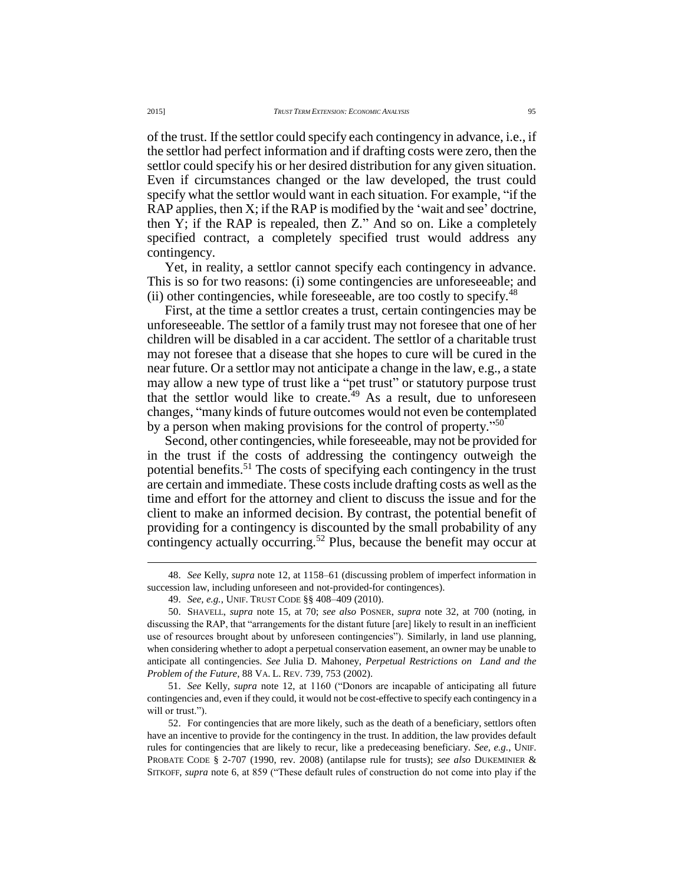of the trust. If the settlor could specify each contingency in advance, i.e., if the settlor had perfect information and if drafting costs were zero, then the settlor could specify his or her desired distribution for any given situation. Even if circumstances changed or the law developed, the trust could specify what the settlor would want in each situation. For example, "if the RAP applies, then X; if the RAP is modified by the 'wait and see' doctrine, then Y; if the RAP is repealed, then Z." And so on. Like a completely specified contract, a completely specified trust would address any contingency.

Yet, in reality, a settlor cannot specify each contingency in advance. This is so for two reasons: (i) some contingencies are unforeseeable; and (ii) other contingencies, while foreseeable, are too costly to specify.<sup>48</sup>

First, at the time a settlor creates a trust, certain contingencies may be unforeseeable. The settlor of a family trust may not foresee that one of her children will be disabled in a car accident. The settlor of a charitable trust may not foresee that a disease that she hopes to cure will be cured in the near future. Or a settlor may not anticipate a change in the law, e.g., a state may allow a new type of trust like a "pet trust" or statutory purpose trust that the settlor would like to create.<sup> $49$ </sup> As a result, due to unforeseen changes, "many kinds of future outcomes would not even be contemplated by a person when making provisions for the control of property."<sup>50</sup>

Second, other contingencies, while foreseeable, may not be provided for in the trust if the costs of addressing the contingency outweigh the potential benefits.<sup>51</sup> The costs of specifying each contingency in the trust are certain and immediate. These costs include drafting costs as well as the time and effort for the attorney and client to discuss the issue and for the client to make an informed decision. By contrast, the potential benefit of providing for a contingency is discounted by the small probability of any contingency actually occurring.<sup>52</sup> Plus, because the benefit may occur at

<sup>48.</sup> *See* Kelly, *supra* note 12, at 1158–61 (discussing problem of imperfect information in succession law, including unforeseen and not-provided-for contingences).

<sup>49.</sup> *See, e.g.*, UNIF. TRUST CODE §§ 408–409 (2010).

<sup>50.</sup> SHAVELL, *supra* note 15, at 70; *see also* POSNER, *supra* note 32, at 700 (noting, in discussing the RAP, that "arrangements for the distant future [are] likely to result in an inefficient use of resources brought about by unforeseen contingencies"). Similarly, in land use planning, when considering whether to adopt a perpetual conservation easement, an owner may be unable to anticipate all contingencies. *See* Julia D. Mahoney, *Perpetual Restrictions on Land and the Problem of the Future*, 88 VA. L. REV. 739, 753 (2002).

<sup>51.</sup> *See* Kelly, *supra* note 12, at 1160 ("Donors are incapable of anticipating all future contingencies and, even if they could, it would not be cost-effective to specify each contingency in a will or trust.").

<sup>52.</sup> For contingencies that are more likely, such as the death of a beneficiary, settlors often have an incentive to provide for the contingency in the trust. In addition, the law provides default rules for contingencies that are likely to recur, like a predeceasing beneficiary. *See, e.g.*, UNIF. PROBATE CODE § 2-707 (1990, rev. 2008) (antilapse rule for trusts); *see also* DUKEMINIER & SITKOFF, *supra* note 6, at 859 ("These default rules of construction do not come into play if the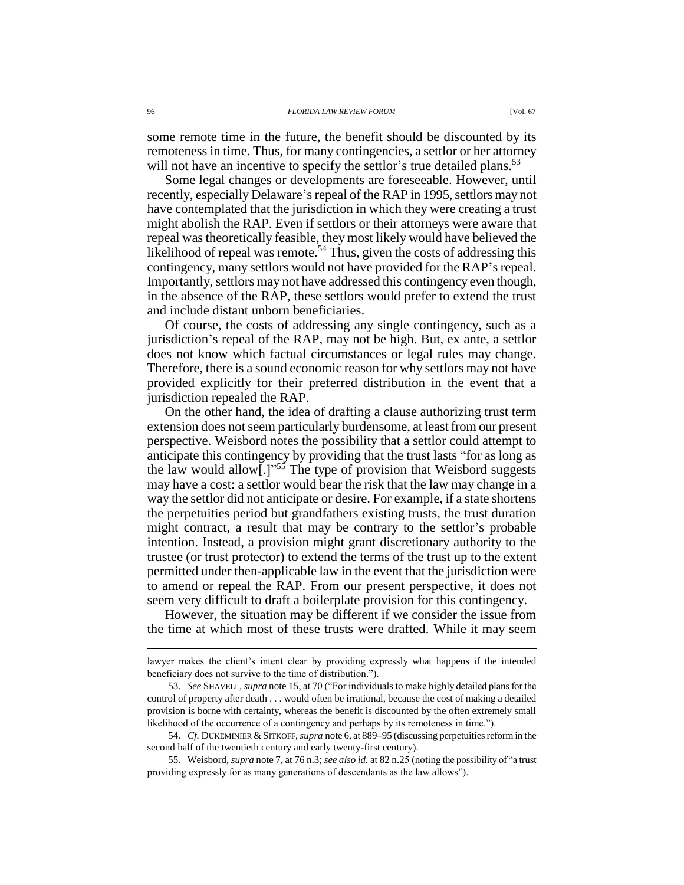some remote time in the future, the benefit should be discounted by its remoteness in time. Thus, for many contingencies, a settlor or her attorney will not have an incentive to specify the settlor's true detailed plans.<sup>53</sup>

Some legal changes or developments are foreseeable. However, until recently, especially Delaware's repeal of the RAP in 1995, settlors may not have contemplated that the jurisdiction in which they were creating a trust might abolish the RAP. Even if settlors or their attorneys were aware that repeal was theoretically feasible, they most likely would have believed the likelihood of repeal was remote.<sup>54</sup> Thus, given the costs of addressing this contingency, many settlors would not have provided for the RAP's repeal. Importantly, settlors may not have addressed this contingency even though, in the absence of the RAP, these settlors would prefer to extend the trust and include distant unborn beneficiaries.

Of course, the costs of addressing any single contingency, such as a jurisdiction's repeal of the RAP, may not be high. But, ex ante, a settlor does not know which factual circumstances or legal rules may change. Therefore, there is a sound economic reason for why settlors may not have provided explicitly for their preferred distribution in the event that a jurisdiction repealed the RAP.

On the other hand, the idea of drafting a clause authorizing trust term extension does not seem particularly burdensome, at least from our present perspective. Weisbord notes the possibility that a settlor could attempt to anticipate this contingency by providing that the trust lasts "for as long as the law would allow[.]"<sup>55</sup> The type of provision that Weisbord suggests may have a cost: a settlor would bear the risk that the law may change in a way the settlor did not anticipate or desire. For example, if a state shortens the perpetuities period but grandfathers existing trusts, the trust duration might contract, a result that may be contrary to the settlor's probable intention. Instead, a provision might grant discretionary authority to the trustee (or trust protector) to extend the terms of the trust up to the extent permitted under then-applicable law in the event that the jurisdiction were to amend or repeal the RAP. From our present perspective, it does not seem very difficult to draft a boilerplate provision for this contingency.

However, the situation may be different if we consider the issue from the time at which most of these trusts were drafted. While it may seem

lawyer makes the client's intent clear by providing expressly what happens if the intended beneficiary does not survive to the time of distribution.").

<sup>53.</sup> *See* SHAVELL, *supra* note 15, at 70 ("For individuals to make highly detailed plans for the control of property after death . . . would often be irrational, because the cost of making a detailed provision is borne with certainty, whereas the benefit is discounted by the often extremely small likelihood of the occurrence of a contingency and perhaps by its remoteness in time.").

<sup>54.</sup> *Cf.* DUKEMINIER &SITKOFF, *supra* note 6, at 889–95 (discussing perpetuities reform in the second half of the twentieth century and early twenty-first century).

<sup>55.</sup> Weisbord, *supra* note 7, at 76 n.3; *see also id.* at 82 n.25 (noting the possibility of "a trust providing expressly for as many generations of descendants as the law allows").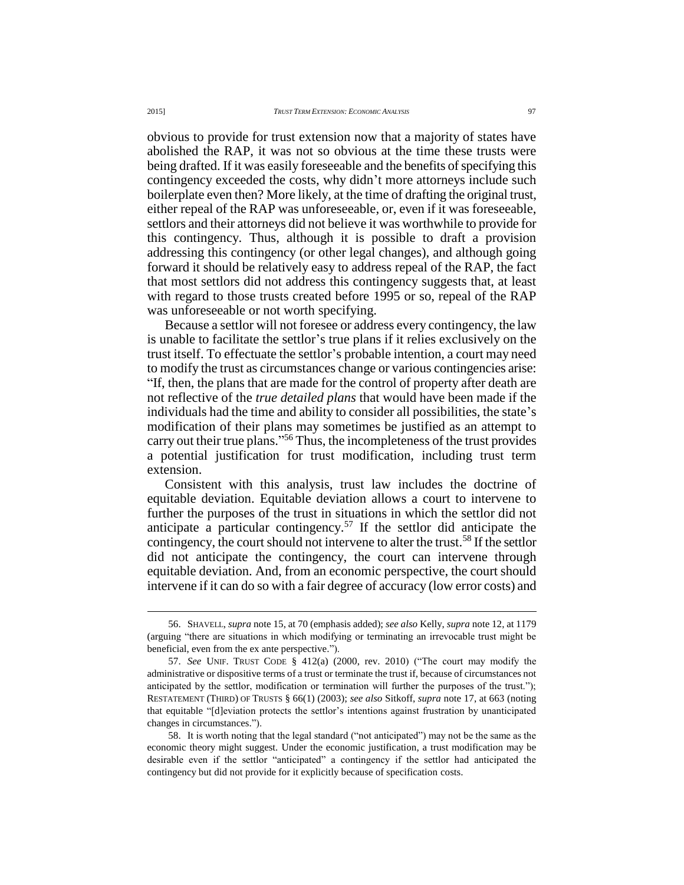obvious to provide for trust extension now that a majority of states have abolished the RAP, it was not so obvious at the time these trusts were being drafted. If it was easily foreseeable and the benefits of specifying this contingency exceeded the costs, why didn't more attorneys include such boilerplate even then? More likely, at the time of drafting the original trust, either repeal of the RAP was unforeseeable, or, even if it was foreseeable, settlors and their attorneys did not believe it was worthwhile to provide for this contingency. Thus, although it is possible to draft a provision addressing this contingency (or other legal changes), and although going forward it should be relatively easy to address repeal of the RAP, the fact that most settlors did not address this contingency suggests that, at least with regard to those trusts created before 1995 or so, repeal of the RAP was unforeseeable or not worth specifying.

Because a settlor will not foresee or address every contingency, the law is unable to facilitate the settlor's true plans if it relies exclusively on the trust itself. To effectuate the settlor's probable intention, a court may need to modify the trust as circumstances change or various contingencies arise: "If, then, the plans that are made for the control of property after death are not reflective of the *true detailed plans* that would have been made if the individuals had the time and ability to consider all possibilities, the state's modification of their plans may sometimes be justified as an attempt to carry out their true plans." <sup>56</sup> Thus, the incompleteness of the trust provides a potential justification for trust modification, including trust term extension.

Consistent with this analysis, trust law includes the doctrine of equitable deviation. Equitable deviation allows a court to intervene to further the purposes of the trust in situations in which the settlor did not anticipate a particular contingency.<sup>57</sup> If the settlor did anticipate the contingency, the court should not intervene to alter the trust.<sup>58</sup> If the settlor did not anticipate the contingency, the court can intervene through equitable deviation. And, from an economic perspective, the court should intervene if it can do so with a fair degree of accuracy (low error costs) and

<sup>56.</sup> SHAVELL, *supra* note 15, at 70 (emphasis added); *see also* Kelly, *supra* note 12, at 1179 (arguing "there are situations in which modifying or terminating an irrevocable trust might be beneficial, even from the ex ante perspective.").

<sup>57.</sup> *See* UNIF. TRUST CODE § 412(a) (2000, rev. 2010) ("The court may modify the administrative or dispositive terms of a trust or terminate the trust if, because of circumstances not anticipated by the settlor, modification or termination will further the purposes of the trust."); RESTATEMENT (THIRD) OF TRUSTS § 66(1) (2003); *see also* Sitkoff, *supra* note 17, at 663 (noting that equitable "[d]eviation protects the settlor's intentions against frustration by unanticipated changes in circumstances.").

<sup>58.</sup> It is worth noting that the legal standard ("not anticipated") may not be the same as the economic theory might suggest. Under the economic justification, a trust modification may be desirable even if the settlor "anticipated" a contingency if the settlor had anticipated the contingency but did not provide for it explicitly because of specification costs.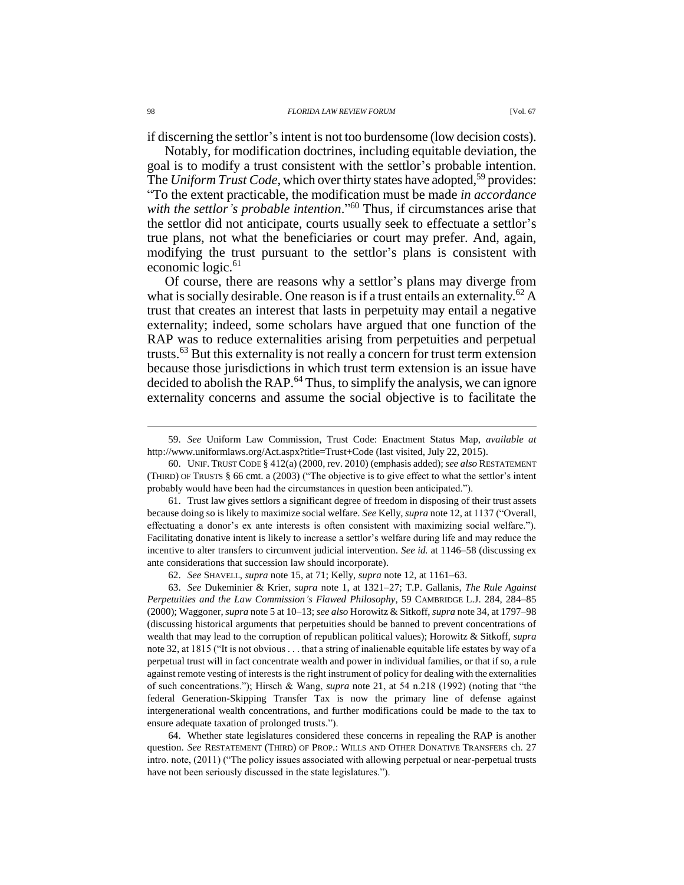if discerning the settlor's intent is not too burdensome (low decision costs).

Notably, for modification doctrines, including equitable deviation, the goal is to modify a trust consistent with the settlor's probable intention. The *Uniform Trust Code*, which over thirty states have adopted,<sup>59</sup> provides: "To the extent practicable, the modification must be made *in accordance with the settlor's probable intention*." <sup>60</sup> Thus, if circumstances arise that the settlor did not anticipate, courts usually seek to effectuate a settlor's true plans, not what the beneficiaries or court may prefer. And, again, modifying the trust pursuant to the settlor's plans is consistent with economic logic.<sup>61</sup>

Of course, there are reasons why a settlor's plans may diverge from what is socially desirable. One reason is if a trust entails an externality.<sup>62</sup> A trust that creates an interest that lasts in perpetuity may entail a negative externality; indeed, some scholars have argued that one function of the RAP was to reduce externalities arising from perpetuities and perpetual trusts.<sup>63</sup> But this externality is not really a concern for trust term extension because those jurisdictions in which trust term extension is an issue have decided to abolish the RAP.<sup>64</sup> Thus, to simplify the analysis, we can ignore externality concerns and assume the social objective is to facilitate the

<sup>59.</sup> *See* Uniform Law Commission, Trust Code: Enactment Status Map, *available at* http://www.uniformlaws.org/Act.aspx?title=Trust+Code (last visited, July 22, 2015).

<sup>60.</sup> UNIF. TRUST CODE § 412(a) (2000, rev. 2010) (emphasis added); *see also* RESTATEMENT (THIRD) OF TRUSTS § 66 cmt. a (2003) ("The objective is to give effect to what the settlor's intent probably would have been had the circumstances in question been anticipated.").

<sup>61.</sup> Trust law gives settlors a significant degree of freedom in disposing of their trust assets because doing so is likely to maximize social welfare. *See* Kelly, *supra* note 12, at 1137 ("Overall, effectuating a donor's ex ante interests is often consistent with maximizing social welfare."). Facilitating donative intent is likely to increase a settlor's welfare during life and may reduce the incentive to alter transfers to circumvent judicial intervention. *See id.* at 1146–58 (discussing ex ante considerations that succession law should incorporate).

<sup>62.</sup> *See* SHAVELL, *supra* note 15, at 71; Kelly, *supra* note 12, at 1161–63.

<sup>63.</sup> *See* Dukeminier & Krier, *supra* note 1, at 1321–27; T.P. Gallanis, *The Rule Against Perpetuities and the Law Commission's Flawed Philosophy*, 59 CAMBRIDGE L.J. 284, 284–85 (2000); Waggoner, *supra* note 5 at 10–13; *see also* Horowitz & Sitkoff, *supra* note 34, at 1797–98 (discussing historical arguments that perpetuities should be banned to prevent concentrations of wealth that may lead to the corruption of republican political values); Horowitz & Sitkoff, *supra* note 32, at 1815 ("It is not obvious . . . that a string of inalienable equitable life estates by way of a perpetual trust will in fact concentrate wealth and power in individual families, or that if so, a rule against remote vesting of interests is the right instrument of policy for dealing with the externalities of such concentrations."); Hirsch & Wang, *supra* note 21, at 54 n.218 (1992) (noting that "the federal Generation-Skipping Transfer Tax is now the primary line of defense against intergenerational wealth concentrations, and further modifications could be made to the tax to ensure adequate taxation of prolonged trusts.").

<sup>64.</sup> Whether state legislatures considered these concerns in repealing the RAP is another question. *See* RESTATEMENT (THIRD) OF PROP.: WILLS AND OTHER DONATIVE TRANSFERS ch. 27 intro. note, (2011) ("The policy issues associated with allowing perpetual or near-perpetual trusts have not been seriously discussed in the state legislatures.").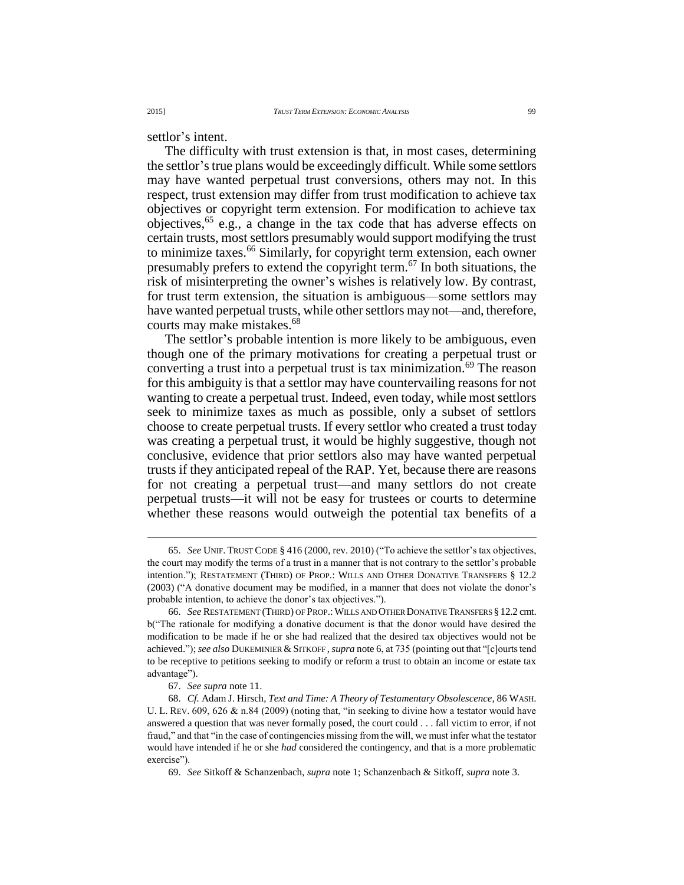settlor's intent.

The difficulty with trust extension is that, in most cases, determining the settlor's true plans would be exceedingly difficult. While some settlors may have wanted perpetual trust conversions, others may not. In this respect, trust extension may differ from trust modification to achieve tax objectives or copyright term extension. For modification to achieve tax objectives,  $65$  e.g., a change in the tax code that has adverse effects on certain trusts, most settlors presumably would support modifying the trust to minimize taxes.<sup>66</sup> Similarly, for copyright term extension, each owner presumably prefers to extend the copyright term.<sup>67</sup> In both situations, the risk of misinterpreting the owner's wishes is relatively low. By contrast, for trust term extension, the situation is ambiguous—some settlors may have wanted perpetual trusts, while other settlors may not—and, therefore, courts may make mistakes.<sup>68</sup>

The settlor's probable intention is more likely to be ambiguous, even though one of the primary motivations for creating a perpetual trust or converting a trust into a perpetual trust is tax minimization.<sup>69</sup> The reason for this ambiguity is that a settlor may have countervailing reasons for not wanting to create a perpetual trust. Indeed, even today, while most settlors seek to minimize taxes as much as possible, only a subset of settlors choose to create perpetual trusts. If every settlor who created a trust today was creating a perpetual trust, it would be highly suggestive, though not conclusive, evidence that prior settlors also may have wanted perpetual trusts if they anticipated repeal of the RAP. Yet, because there are reasons for not creating a perpetual trust—and many settlors do not create perpetual trusts—it will not be easy for trustees or courts to determine whether these reasons would outweigh the potential tax benefits of a

<sup>65.</sup> *See* UNIF. TRUST CODE § 416 (2000, rev. 2010) ("To achieve the settlor's tax objectives, the court may modify the terms of a trust in a manner that is not contrary to the settlor's probable intention."); RESTATEMENT (THIRD) OF PROP.: WILLS AND OTHER DONATIVE TRANSFERS § 12.2 (2003) ("A donative document may be modified, in a manner that does not violate the donor's probable intention, to achieve the donor's tax objectives.").

<sup>66.</sup> *See* RESTATEMENT (THIRD) OF PROP.:WILLS AND OTHER DONATIVE TRANSFERS § 12.2 cmt. b("The rationale for modifying a donative document is that the donor would have desired the modification to be made if he or she had realized that the desired tax objectives would not be achieved."); *see also* DUKEMINIER &SITKOFF , *supra* note 6, at 735 (pointing out that "[c]ourts tend to be receptive to petitions seeking to modify or reform a trust to obtain an income or estate tax advantage").

<sup>67.</sup> *See supra* note 11.

<sup>68.</sup> *Cf.* Adam J. Hirsch, *Text and Time: A Theory of Testamentary Obsolescence*, 86 WASH. U. L. Rev.  $609$ ,  $626 \& n.84$  (2009) (noting that, "in seeking to divine how a testator would have answered a question that was never formally posed, the court could . . . fall victim to error, if not fraud," and that "in the case of contingencies missing from the will, we must infer what the testator would have intended if he or she *had* considered the contingency, and that is a more problematic exercise").

<sup>69.</sup> *See* Sitkoff & Schanzenbach, *supra* note 1; Schanzenbach & Sitkoff, *supra* note 3.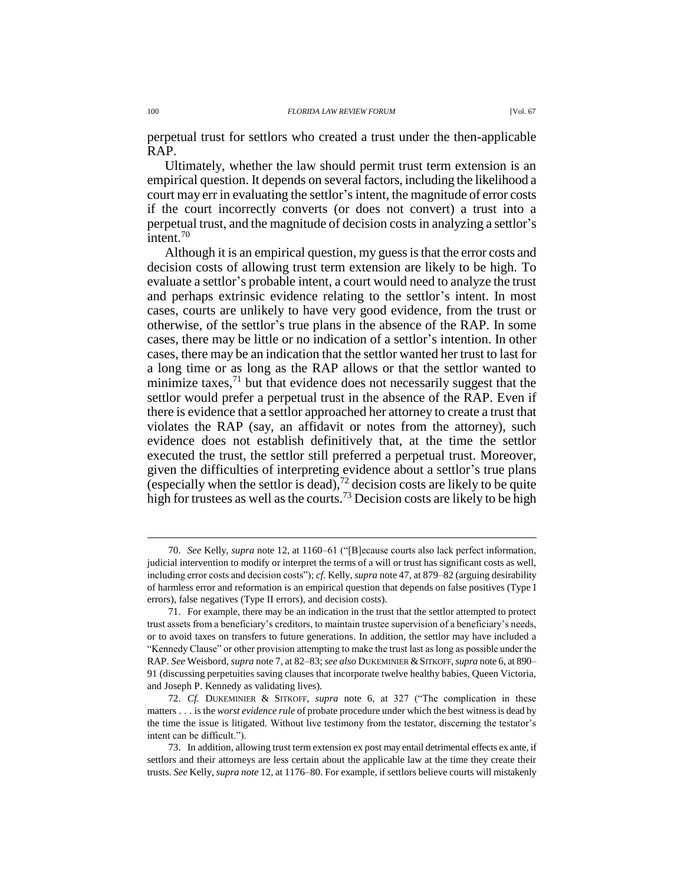perpetual trust for settlors who created a trust under the then-applicable RAP.

Ultimately, whether the law should permit trust term extension is an empirical question. It depends on several factors, including the likelihood a court may err in evaluating the settlor's intent, the magnitude of error costs if the court incorrectly converts (or does not convert) a trust into a perpetual trust, and the magnitude of decision costs in analyzing a settlor's intent.<sup>70</sup>

Although it is an empirical question, my guess is that the error costs and decision costs of allowing trust term extension are likely to be high. To evaluate a settlor's probable intent, a court would need to analyze the trust and perhaps extrinsic evidence relating to the settlor's intent. In most cases, courts are unlikely to have very good evidence, from the trust or otherwise, of the settlor's true plans in the absence of the RAP. In some cases, there may be little or no indication of a settlor's intention. In other cases, there may be an indication that the settlor wanted her trust to last for a long time or as long as the RAP allows or that the settlor wanted to minimize taxes, $^{71}$  but that evidence does not necessarily suggest that the settlor would prefer a perpetual trust in the absence of the RAP. Even if there is evidence that a settlor approached her attorney to create a trust that violates the RAP (say, an affidavit or notes from the attorney), such evidence does not establish definitively that, at the time the settlor executed the trust, the settlor still preferred a perpetual trust. Moreover, given the difficulties of interpreting evidence about a settlor's true plans (especially when the settlor is dead),  $72$  decision costs are likely to be quite high for trustees as well as the courts.<sup>73</sup> Decision costs are likely to be high

<sup>70.</sup> *See* Kelly, *supra* note 12, at 1160–61 ("[B]ecause courts also lack perfect information, judicial intervention to modify or interpret the terms of a will or trust has significant costs as well, including error costs and decision costs"); *cf.* Kelly, *supra* note 47, at 879–82 (arguing desirability of harmless error and reformation is an empirical question that depends on false positives (Type I errors), false negatives (Type II errors), and decision costs).

<sup>71.</sup> For example, there may be an indication in the trust that the settlor attempted to protect trust assets from a beneficiary's creditors, to maintain trustee supervision of a beneficiary's needs, or to avoid taxes on transfers to future generations. In addition, the settlor may have included a "Kennedy Clause" or other provision attempting to make the trust last as long as possible under the RAP. *See* Weisbord, *supra* note 7, at 82–83; *see also* DUKEMINIER &SITKOFF, *supra* note 6, at 890– 91 (discussing perpetuities saving clauses that incorporate twelve healthy babies, Queen Victoria, and Joseph P. Kennedy as validating lives).

<sup>72.</sup> *Cf.* DUKEMINIER & SITKOFF, *supra* note 6, at 327 ("The complication in these matters . . . is the *worst evidence rule* of probate procedure under which the best witness is dead by the time the issue is litigated. Without live testimony from the testator, discerning the testator's intent can be difficult.").

<sup>73.</sup> In addition, allowing trust term extension ex post may entail detrimental effects ex ante, if settlors and their attorneys are less certain about the applicable law at the time they create their trusts. *See* Kelly, *supra note* 12, at 1176–80. For example, if settlors believe courts will mistakenly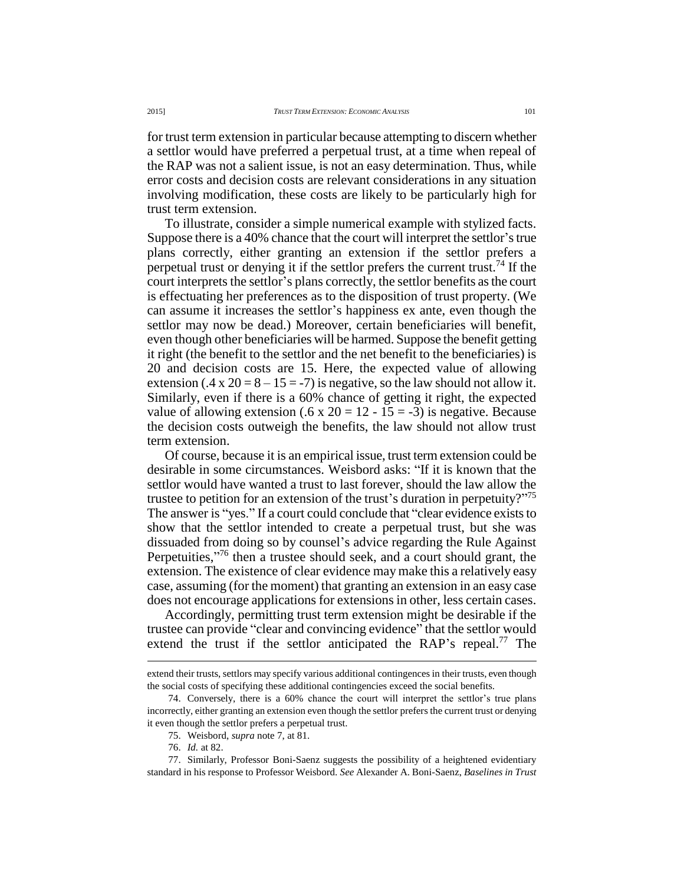for trust term extension in particular because attempting to discern whether a settlor would have preferred a perpetual trust, at a time when repeal of the RAP was not a salient issue, is not an easy determination. Thus, while error costs and decision costs are relevant considerations in any situation involving modification, these costs are likely to be particularly high for trust term extension.

To illustrate, consider a simple numerical example with stylized facts. Suppose there is a 40% chance that the court will interpret the settlor's true plans correctly, either granting an extension if the settlor prefers a perpetual trust or denying it if the settlor prefers the current trust.<sup>74</sup> If the court interprets the settlor's plans correctly, the settlor benefits as the court is effectuating her preferences as to the disposition of trust property. (We can assume it increases the settlor's happiness ex ante, even though the settlor may now be dead.) Moreover, certain beneficiaries will benefit, even though other beneficiaries will be harmed. Suppose the benefit getting it right (the benefit to the settlor and the net benefit to the beneficiaries) is 20 and decision costs are 15. Here, the expected value of allowing extension (.4 x 20 =  $8 - 15 = -7$ ) is negative, so the law should not allow it. Similarly, even if there is a 60% chance of getting it right, the expected value of allowing extension (.6 x 20 = 12 - 15 = -3) is negative. Because the decision costs outweigh the benefits, the law should not allow trust term extension.

Of course, because it is an empirical issue, trust term extension could be desirable in some circumstances. Weisbord asks: "If it is known that the settlor would have wanted a trust to last forever, should the law allow the trustee to petition for an extension of the trust's duration in perpetuity?"<sup>75</sup> The answer is "yes." If a court could conclude that "clear evidence exists to show that the settlor intended to create a perpetual trust, but she was dissuaded from doing so by counsel's advice regarding the Rule Against Perpetuities,"<sup>76</sup> then a trustee should seek, and a court should grant, the extension. The existence of clear evidence may make this a relatively easy case, assuming (for the moment) that granting an extension in an easy case does not encourage applications for extensions in other, less certain cases.

Accordingly, permitting trust term extension might be desirable if the trustee can provide "clear and convincing evidence" that the settlor would extend the trust if the settlor anticipated the RAP's repeal.<sup>77</sup> The

extend their trusts, settlors may specify various additional contingences in their trusts, even though the social costs of specifying these additional contingencies exceed the social benefits.

<sup>74.</sup> Conversely, there is a 60% chance the court will interpret the settlor's true plans incorrectly, either granting an extension even though the settlor prefers the current trust or denying it even though the settlor prefers a perpetual trust.

<sup>75.</sup> Weisbord, *supra* note 7, at 81.

<sup>76.</sup> *Id.* at 82.

<sup>77.</sup> Similarly, Professor Boni-Saenz suggests the possibility of a heightened evidentiary standard in his response to Professor Weisbord. *See* Alexander A. Boni-Saenz, *Baselines in Trust*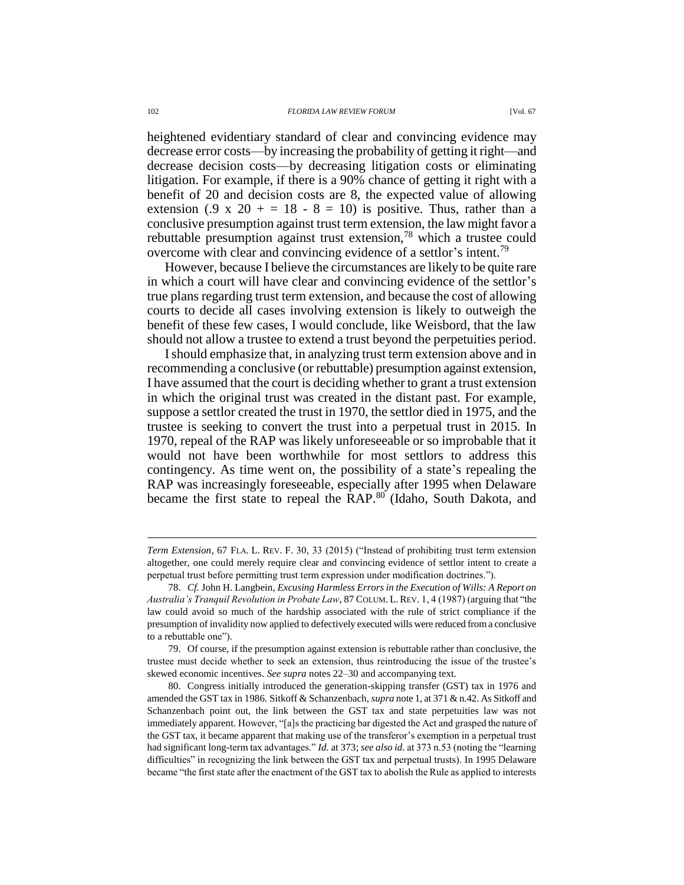heightened evidentiary standard of clear and convincing evidence may decrease error costs—by increasing the probability of getting it right—and decrease decision costs—by decreasing litigation costs or eliminating litigation. For example, if there is a 90% chance of getting it right with a benefit of 20 and decision costs are 8, the expected value of allowing extension (.9 x 20 + = 18 - 8 = 10) is positive. Thus, rather than a conclusive presumption against trust term extension, the law might favor a rebuttable presumption against trust extension,<sup>78</sup> which a trustee could overcome with clear and convincing evidence of a settlor's intent.<sup>79</sup>

However, because I believe the circumstances are likely to be quite rare in which a court will have clear and convincing evidence of the settlor's true plans regarding trust term extension, and because the cost of allowing courts to decide all cases involving extension is likely to outweigh the benefit of these few cases, I would conclude, like Weisbord, that the law should not allow a trustee to extend a trust beyond the perpetuities period.

I should emphasize that, in analyzing trust term extension above and in recommending a conclusive (or rebuttable) presumption against extension, I have assumed that the court is deciding whether to grant a trust extension in which the original trust was created in the distant past. For example, suppose a settlor created the trust in 1970, the settlor died in 1975, and the trustee is seeking to convert the trust into a perpetual trust in 2015. In 1970, repeal of the RAP was likely unforeseeable or so improbable that it would not have been worthwhile for most settlors to address this contingency. As time went on, the possibility of a state's repealing the RAP was increasingly foreseeable, especially after 1995 when Delaware became the first state to repeal the RAP.<sup>80</sup> (Idaho, South Dakota, and

*Term Extension*, 67 FLA. L. REV. F. 30, 33 (2015) ("Instead of prohibiting trust term extension altogether, one could merely require clear and convincing evidence of settlor intent to create a perpetual trust before permitting trust term expression under modification doctrines.").

<sup>78.</sup> *Cf.* John H. Langbein, *Excusing Harmless Errors in the Execution of Wills: A Report on Australia's Tranquil Revolution in Probate Law*, 87 COLUM. L.REV. 1, 4 (1987) (arguing that "the law could avoid so much of the hardship associated with the rule of strict compliance if the presumption of invalidity now applied to defectively executed wills were reduced from a conclusive to a rebuttable one").

<sup>79.</sup> Of course, if the presumption against extension is rebuttable rather than conclusive, the trustee must decide whether to seek an extension, thus reintroducing the issue of the trustee's skewed economic incentives. *See supra* notes 22–30 and accompanying text.

<sup>80.</sup> Congress initially introduced the generation-skipping transfer (GST) tax in 1976 and amended the GST tax in 1986. Sitkoff & Schanzenbach, *supra* note 1, at 371 & n.42. As Sitkoff and Schanzenbach point out, the link between the GST tax and state perpetuities law was not immediately apparent. However, "[a]s the practicing bar digested the Act and grasped the nature of the GST tax, it became apparent that making use of the transferor's exemption in a perpetual trust had significant long-term tax advantages." *Id.* at 373; *see also id.* at 373 n.53 (noting the "learning difficulties" in recognizing the link between the GST tax and perpetual trusts). In 1995 Delaware became "the first state after the enactment of the GST tax to abolish the Rule as applied to interests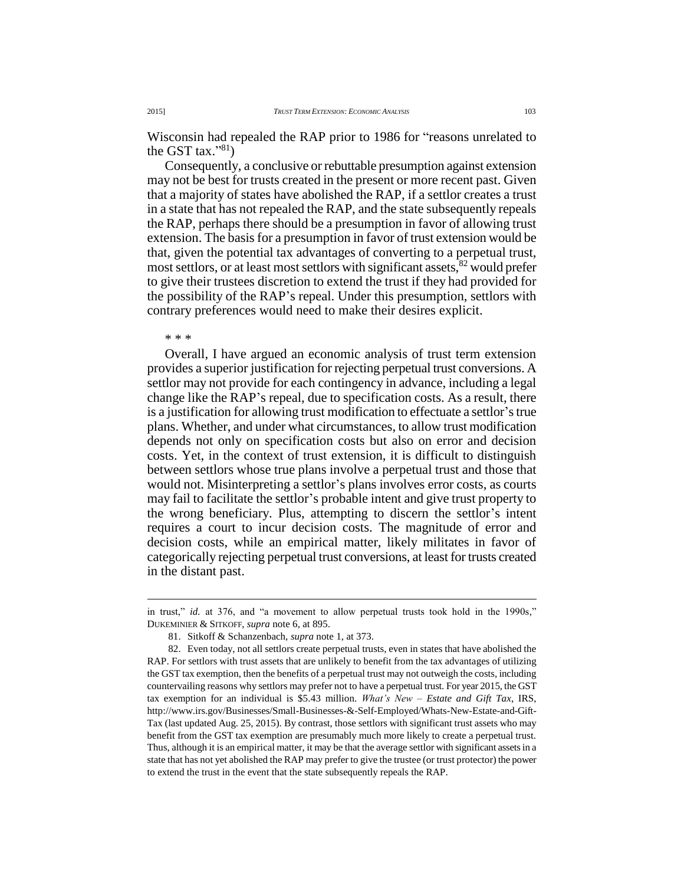Wisconsin had repealed the RAP prior to 1986 for "reasons unrelated to the GST tax." $81)$ 

Consequently, a conclusive or rebuttable presumption against extension may not be best for trusts created in the present or more recent past. Given that a majority of states have abolished the RAP, if a settlor creates a trust in a state that has not repealed the RAP, and the state subsequently repeals the RAP, perhaps there should be a presumption in favor of allowing trust extension. The basis for a presumption in favor of trust extension would be that, given the potential tax advantages of converting to a perpetual trust, most settlors, or at least most settlors with significant assets,  $82$  would prefer to give their trustees discretion to extend the trust if they had provided for the possibility of the RAP's repeal. Under this presumption, settlors with contrary preferences would need to make their desires explicit.

## \* \* \*

 $\overline{a}$ 

Overall, I have argued an economic analysis of trust term extension provides a superior justification for rejecting perpetual trust conversions. A settlor may not provide for each contingency in advance, including a legal change like the RAP's repeal, due to specification costs. As a result, there is a justification for allowing trust modification to effectuate a settlor's true plans. Whether, and under what circumstances, to allow trust modification depends not only on specification costs but also on error and decision costs. Yet, in the context of trust extension, it is difficult to distinguish between settlors whose true plans involve a perpetual trust and those that would not. Misinterpreting a settlor's plans involves error costs, as courts may fail to facilitate the settlor's probable intent and give trust property to the wrong beneficiary. Plus, attempting to discern the settlor's intent requires a court to incur decision costs. The magnitude of error and decision costs, while an empirical matter, likely militates in favor of categorically rejecting perpetual trust conversions, at least for trusts created in the distant past.

in trust," *id.* at 376, and "a movement to allow perpetual trusts took hold in the 1990s," DUKEMINIER & SITKOFF, *supra* note 6, at 895.

<sup>81.</sup> Sitkoff & Schanzenbach, *supra* note 1, at 373.

<sup>82.</sup> Even today, not all settlors create perpetual trusts, even in states that have abolished the RAP. For settlors with trust assets that are unlikely to benefit from the tax advantages of utilizing the GST tax exemption, then the benefits of a perpetual trust may not outweigh the costs, including countervailing reasons why settlors may prefer not to have a perpetual trust. For year 2015, the GST tax exemption for an individual is \$5.43 million. *What's New – Estate and Gift Tax*, IRS, http://www.irs.gov/Businesses/Small-Businesses-&-Self-Employed/Whats-New-Estate-and-Gift-Tax (last updated Aug. 25, 2015). By contrast, those settlors with significant trust assets who may benefit from the GST tax exemption are presumably much more likely to create a perpetual trust. Thus, although it is an empirical matter, it may be that the average settlor with significant assets in a state that has not yet abolished the RAP may prefer to give the trustee (or trust protector) the power to extend the trust in the event that the state subsequently repeals the RAP.